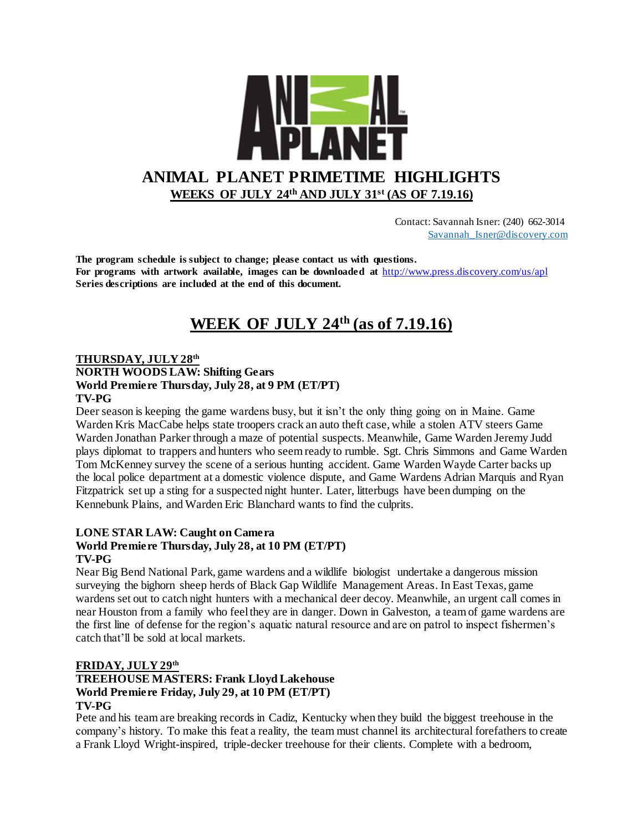

 Contact: Savannah Isner: (240) 662-3014 [Savannah\\_Isner@discovery.com](mailto:Savannah_Isner@discovery.com)

**The program schedule is subject to change; please contact us with questions. For programs with artwork available, images can be downloaded at** http://www.press.discovery.com/us/apl **Series descriptions are included at the end of this document.** 

# **WEEK OF JULY 24th (as of 7.19.16)**

#### **THURSDAY, JULY 28th NORTH WOODS LAW: Shifting Gears World Premiere Thursday, July 28, at 9 PM (ET/PT) TV-PG**

Deer season is keeping the game wardens busy, but it isn't the only thing going on in Maine. Game Warden Kris MacCabe helps state troopers crack an auto theft case, while a stolen ATV steers Game Warden Jonathan Parker through a maze of potential suspects. Meanwhile, Game Warden Jeremy Judd plays diplomat to trappers and hunters who seem ready to rumble. Sgt. Chris Simmons and Game Warden Tom McKenney survey the scene of a serious hunting accident. Game Warden Wayde Carter backs up the local police department at a domestic violence dispute, and Game Wardens Adrian Marquis and Ryan Fitzpatrick set up a sting for a suspected night hunter. Later, litterbugs have been dumping on the Kennebunk Plains, and Warden Eric Blanchard wants to find the culprits.

#### **LONE STAR LAW: Caught on Camera**

#### **World Premiere Thursday, July 28, at 10 PM (ET/PT) TV-PG**

Near Big Bend National Park, game wardens and a wildlife biologist undertake a dangerous mission surveying the bighorn sheep herds of Black Gap Wildlife Management Areas. In East Texas, game wardens set out to catch night hunters with a mechanical deer decoy. Meanwhile, an urgent call comes in near Houston from a family who feel they are in danger. Down in Galveston, a team of game wardens are the first line of defense for the region's aquatic natural resource and are on patrol to inspect fishermen's catch that'll be sold at local markets.

#### **FRIDAY, JULY 29th**

#### **TREEHOUSE MASTERS: Frank Lloyd Lakehouse World Premiere Friday, July 29, at 10 PM (ET/PT) TV-PG**

Pete and his team are breaking records in Cadiz, Kentucky when they build the biggest treehouse in the company's history. To make this feat a reality, the team must channel its architectural forefathers to create a Frank Lloyd Wright-inspired, triple-decker treehouse for their clients. Complete with a bedroom,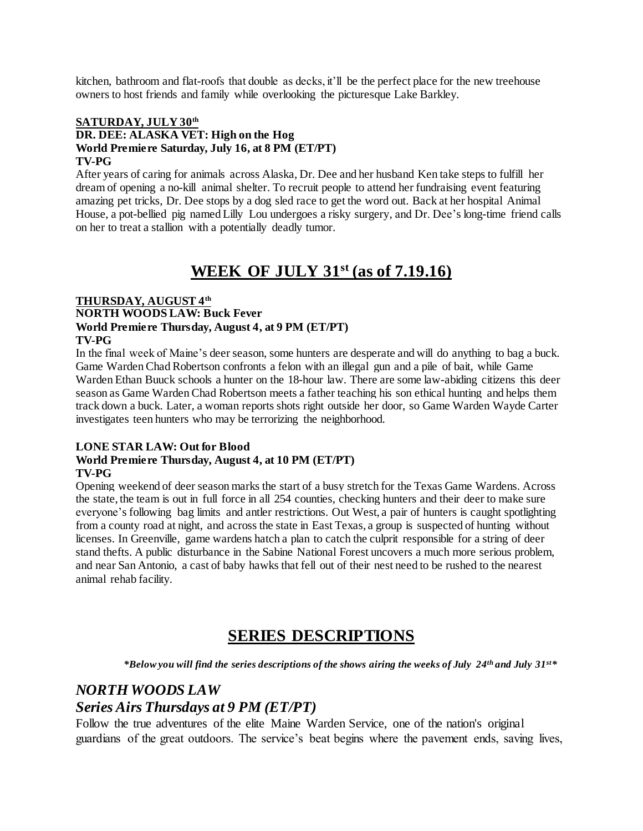kitchen, bathroom and flat-roofs that double as decks, it'll be the perfect place for the new treehouse owners to host friends and family while overlooking the picturesque Lake Barkley.

#### **SATURDAY, JULY 30th DR. DEE: ALASKA VET: High on the Hog World Premiere Saturday, July 16, at 8 PM (ET/PT) TV-PG**

After years of caring for animals across Alaska, Dr. Dee and her husband Ken take steps to fulfill her dream of opening a no-kill animal shelter. To recruit people to attend her fundraising event featuring amazing pet tricks, Dr. Dee stops by a dog sled race to get the word out. Back at her hospital Animal House, a pot-bellied pig named Lilly Lou undergoes a risky surgery, and Dr. Dee's long-time friend calls on her to treat a stallion with a potentially deadly tumor.

## **WEEK OF JULY 31st (as of 7.19.16)**

#### **THURSDAY, AUGUST 4th NORTH WOODS LAW: Buck Fever World Premiere Thursday, August 4, at 9 PM (ET/PT) TV-PG**

In the final week of Maine's deer season, some hunters are desperate and will do anything to bag a buck. Game Warden Chad Robertson confronts a felon with an illegal gun and a pile of bait, while Game Warden Ethan Buuck schools a hunter on the 18-hour law. There are some law-abiding citizens this deer season as Game Warden Chad Robertson meets a father teaching his son ethical hunting and helps them track down a buck. Later, a woman reports shots right outside her door, so Game Warden Wayde Carter investigates teen hunters who may be terrorizing the neighborhood.

#### **LONE STAR LAW: Out for Blood World Premiere Thursday, August 4, at 10 PM (ET/PT) TV-PG**

Opening weekend of deer season marks the start of a busy stretch for the Texas Game Wardens. Across the state, the team is out in full force in all 254 counties, checking hunters and their deer to make sure everyone's following bag limits and antler restrictions. Out West, a pair of hunters is caught spotlighting from a county road at night, and across the state in East Texas, a group is suspected of hunting without licenses. In Greenville, game wardens hatch a plan to catch the culprit responsible for a string of deer stand thefts. A public disturbance in the Sabine National Forest uncovers a much more serious problem, and near San Antonio, a cast of baby hawks that fell out of their nest need to be rushed to the nearest animal rehab facility.

## **SERIES DESCRIPTIONS**

*\*Below you will find the series descriptions of the shows airing the weeks of July 24th and July 31st\**

### *NORTH WOODS LAW*

### *Series Airs Thursdays at 9 PM (ET/PT)*

Follow the true adventures of the elite Maine Warden Service, one of the nation's original guardians of the great outdoors. The service's beat begins where the pavement ends, saving lives,